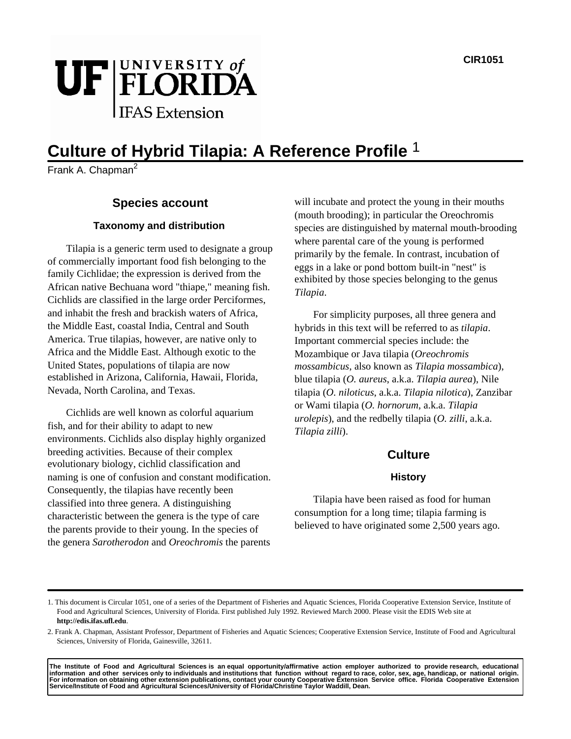# UF FLORIDA

# **Culture of Hybrid Tilapia: A Reference Profile** 1

 $\overline{\text{Frank}}$  A. Chapman<sup>2</sup>

# **Species account**

#### **Taxonomy and distribution**

Tilapia is a generic term used to designate a group of commercially important food fish belonging to the family Cichlidae; the expression is derived from the African native Bechuana word "thiape," meaning fish. Cichlids are classified in the large order Perciformes, and inhabit the fresh and brackish waters of Africa, the Middle East, coastal India, Central and South America. True tilapias, however, are native only to Africa and the Middle East. Although exotic to the United States, populations of tilapia are now established in Arizona, California, Hawaii, Florida, Nevada, North Carolina, and Texas.

Cichlids are well known as colorful aquarium fish, and for their ability to adapt to new environments. Cichlids also display highly organized breeding activities. Because of their complex evolutionary biology, cichlid classification and naming is one of confusion and constant modification. Consequently, the tilapias have recently been classified into three genera. A distinguishing characteristic between the genera is the type of care the parents provide to their young. In the species of the genera *Sarotherodon* and *Oreochromis* the parents will incubate and protect the young in their mouths (mouth brooding); in particular the Oreochromis species are distinguished by maternal mouth-brooding where parental care of the young is performed primarily by the female. In contrast, incubation of eggs in a lake or pond bottom built-in "nest" is exhibited by those species belonging to the genus *Tilapia*.

For simplicity purposes, all three genera and hybrids in this text will be referred to as *tilapia*. Important commercial species include: the Mozambique or Java tilapia (*Oreochromis mossambicus*, also known as *Tilapia mossambica*), blue tilapia (*O. aureus*, a.k.a. *Tilapia aurea*), Nile tilapia (*O. niloticus*, a.k.a. *Tilapia nilotica*), Zanzibar or Wami tilapia (*O. hornorum*, a.k.a. *Tilapia urolepis*), and the redbelly tilapia (*O. zilli*, a.k.a. *Tilapia zilli*).

# **Culture**

#### **History**

Tilapia have been raised as food for human consumption for a long time; tilapia farming is believed to have originated some 2,500 years ago.

The Institute of Food and Agricultural Sciences is anequal opportunity/affirmative action employer authorized to provideresearch, educational<br>information and other services only to individuals and institutions that functio For information on obtaining other extension publications, contact your county Cooperative Extension Service office. Tlorida Cooperative Extension<br>Service/Institute of Food and Agricultural Sciences/University of Flori

<sup>1.</sup> This document is Circular 1051, one of a series of the Department of Fisheries and Aquatic Sciences, Florida Cooperative Extension Service, Institute of Food and Agricultural Sciences, University of Florida. First published July 1992. Reviewed March 2000. Please visit the EDIS Web site at **http://edis.ifas.ufl.edu**.

<sup>2.</sup> Frank A. Chapman, Assistant Professor, Department of Fisheries and Aquatic Sciences; Cooperative Extension Service, Institute of Food and Agricultural Sciences, University of Florida, Gainesville, 32611.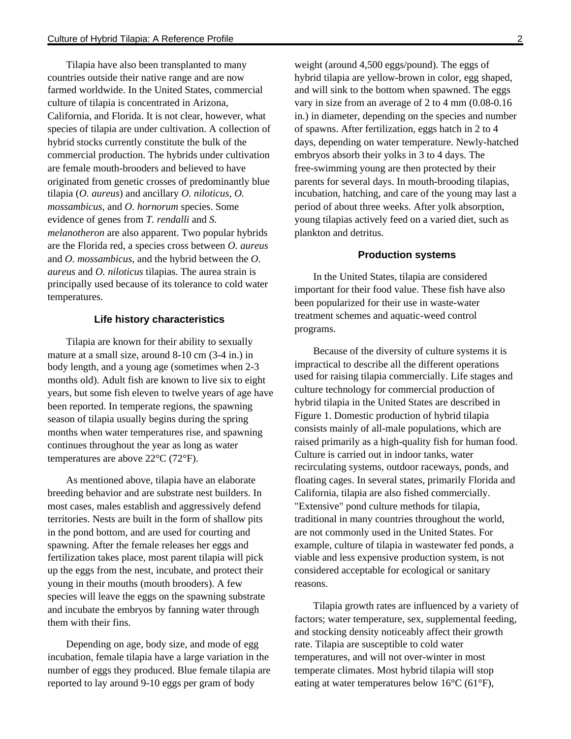Tilapia have also been transplanted to many countries outside their native range and are now farmed worldwide. In the United States, commercial culture of tilapia is concentrated in Arizona, California, and Florida. It is not clear, however, what species of tilapia are under cultivation. A collection of hybrid stocks currently constitute the bulk of the commercial production. The hybrids under cultivation are female mouth-brooders and believed to have originated from genetic crosses of predominantly blue tilapia (*O. aureus*) and ancillary *O. niloticus*, *O. mossambicus*, and *O. hornorum* species. Some evidence of genes from *T. rendalli* and *S. melanotheron* are also apparent. Two popular hybrids are the Florida red, a species cross between *O. aureus*  and *O. mossambicus*, and the hybrid between the *O. aureus* and *O. niloticus* tilapias. The aurea strain is principally used because of its tolerance to cold water temperatures.

#### **Life history characteristics**

Tilapia are known for their ability to sexually mature at a small size, around 8-10 cm (3-4 in.) in body length, and a young age (sometimes when 2-3 months old). Adult fish are known to live six to eight years, but some fish eleven to twelve years of age have been reported. In temperate regions, the spawning season of tilapia usually begins during the spring months when water temperatures rise, and spawning continues throughout the year as long as water temperatures are above 22°C (72°F).

As mentioned above, tilapia have an elaborate breeding behavior and are substrate nest builders. In most cases, males establish and aggressively defend territories. Nests are built in the form of shallow pits in the pond bottom, and are used for courting and spawning. After the female releases her eggs and fertilization takes place, most parent tilapia will pick up the eggs from the nest, incubate, and protect their young in their mouths (mouth brooders). A few species will leave the eggs on the spawning substrate and incubate the embryos by fanning water through them with their fins.

Depending on age, body size, and mode of egg incubation, female tilapia have a large variation in the number of eggs they produced. Blue female tilapia are reported to lay around 9-10 eggs per gram of body

weight (around 4,500 eggs/pound). The eggs of hybrid tilapia are yellow-brown in color, egg shaped, and will sink to the bottom when spawned. The eggs vary in size from an average of 2 to 4 mm (0.08-0.16 in.) in diameter, depending on the species and number of spawns. After fertilization, eggs hatch in 2 to 4 days, depending on water temperature. Newly-hatched embryos absorb their yolks in 3 to 4 days. The free-swimming young are then protected by their parents for several days. In mouth-brooding tilapias, incubation, hatching, and care of the young may last a period of about three weeks. After yolk absorption, young tilapias actively feed on a varied diet, such as plankton and detritus.

#### **Production systems**

In the United States, tilapia are considered important for their food value. These fish have also been popularized for their use in waste-water treatment schemes and aquatic-weed control programs.

Because of the diversity of culture systems it is impractical to describe all the different operations used for raising tilapia commercially. Life stages and culture technology for commercial production of hybrid tilapia in the United States are described in Figure 1. Domestic production of hybrid tilapia consists mainly of all-male populations, which are raised primarily as a high-quality fish for human food. Culture is carried out in indoor tanks, water recirculating systems, outdoor raceways, ponds, and floating cages. In several states, primarily Florida and California, tilapia are also fished commercially. "Extensive" pond culture methods for tilapia, traditional in many countries throughout the world, are not commonly used in the United States. For example, culture of tilapia in wastewater fed ponds, a viable and less expensive production system, is not considered acceptable for ecological or sanitary reasons.

Tilapia growth rates are influenced by a variety of factors; water temperature, sex, supplemental feeding, and stocking density noticeably affect their growth rate. Tilapia are susceptible to cold water temperatures, and will not over-winter in most temperate climates. Most hybrid tilapia will stop eating at water temperatures below 16°C (61°F),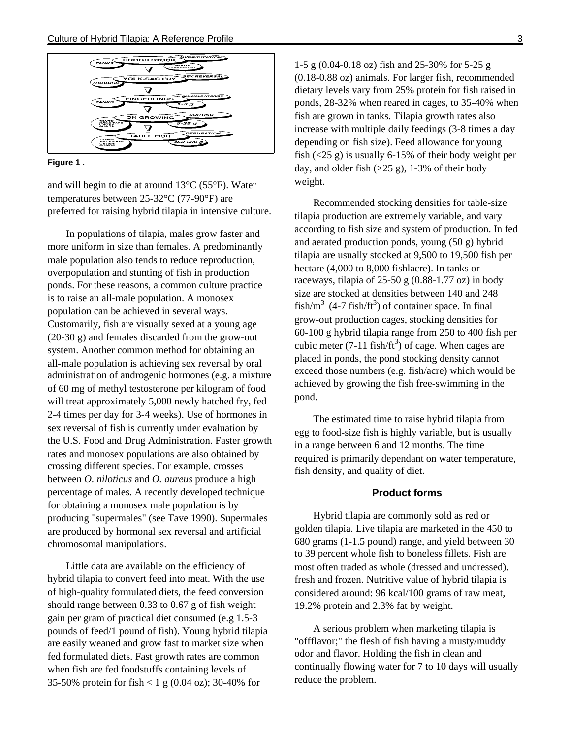



and will begin to die at around 13°C (55°F). Water temperatures between 25-32°C (77-90°F) are preferred for raising hybrid tilapia in intensive culture.

In populations of tilapia, males grow faster and more uniform in size than females. A predominantly male population also tends to reduce reproduction, overpopulation and stunting of fish in production ponds. For these reasons, a common culture practice is to raise an all-male population. A monosex population can be achieved in several ways. Customarily, fish are visually sexed at a young age (20-30 g) and females discarded from the grow-out system. Another common method for obtaining an all-male population is achieving sex reversal by oral administration of androgenic hormones (e.g. a mixture of 60 mg of methyl testosterone per kilogram of food will treat approximately 5,000 newly hatched fry, fed 2-4 times per day for 3-4 weeks). Use of hormones in sex reversal of fish is currently under evaluation by the U.S. Food and Drug Administration. Faster growth rates and monosex populations are also obtained by crossing different species. For example, crosses between *O. niloticus* and *O. aureus* produce a high percentage of males. A recently developed technique for obtaining a monosex male population is by producing "supermales" (see Tave 1990). Supermales are produced by hormonal sex reversal and artificial chromosomal manipulations.

Little data are available on the efficiency of hybrid tilapia to convert feed into meat. With the use of high-quality formulated diets, the feed conversion should range between 0.33 to 0.67 g of fish weight gain per gram of practical diet consumed (e.g 1.5-3 pounds of feed/1 pound of fish). Young hybrid tilapia are easily weaned and grow fast to market size when fed formulated diets. Fast growth rates are common when fish are fed foodstuffs containing levels of 35-50% protein for fish < 1 g (0.04 oz); 30-40% for

1-5 g (0.04-0.18 oz) fish and 25-30% for 5-25 g (0.18-0.88 oz) animals. For larger fish, recommended dietary levels vary from 25% protein for fish raised in ponds, 28-32% when reared in cages, to 35-40% when fish are grown in tanks. Tilapia growth rates also increase with multiple daily feedings (3-8 times a day depending on fish size). Feed allowance for young fish  $(\leq 25 \text{ g})$  is usually 6-15% of their body weight per day, and older fish  $(>25 \text{ g})$ , 1-3% of their body weight.

Recommended stocking densities for table-size tilapia production are extremely variable, and vary according to fish size and system of production. In fed and aerated production ponds, young (50 g) hybrid tilapia are usually stocked at 9,500 to 19,500 fish per hectare (4,000 to 8,000 fishlacre). In tanks or raceways, tilapia of  $25-50$  g (0.88-1.77 oz) in body size are stocked at densities between 140 and 248 fish/m<sup>3</sup> (4-7 fish/ft<sup>3</sup>) of container space. In final grow-out production cages, stocking densities for 60-100 g hybrid tilapia range from 250 to 400 fish per cubic meter (7-11 fish/ft<sup>3</sup>) of cage. When cages are placed in ponds, the pond stocking density cannot exceed those numbers (e.g. fish/acre) which would be achieved by growing the fish free-swimming in the pond.

The estimated time to raise hybrid tilapia from egg to food-size fish is highly variable, but is usually in a range between 6 and 12 months. The time required is primarily dependant on water temperature, fish density, and quality of diet.

#### **Product forms**

Hybrid tilapia are commonly sold as red or golden tilapia. Live tilapia are marketed in the 450 to 680 grams (1-1.5 pound) range, and yield between 30 to 39 percent whole fish to boneless fillets. Fish are most often traded as whole (dressed and undressed), fresh and frozen. Nutritive value of hybrid tilapia is considered around: 96 kcal/100 grams of raw meat, 19.2% protein and 2.3% fat by weight.

A serious problem when marketing tilapia is "offflavor;" the flesh of fish having a musty/muddy odor and flavor. Holding the fish in clean and continually flowing water for 7 to 10 days will usually reduce the problem.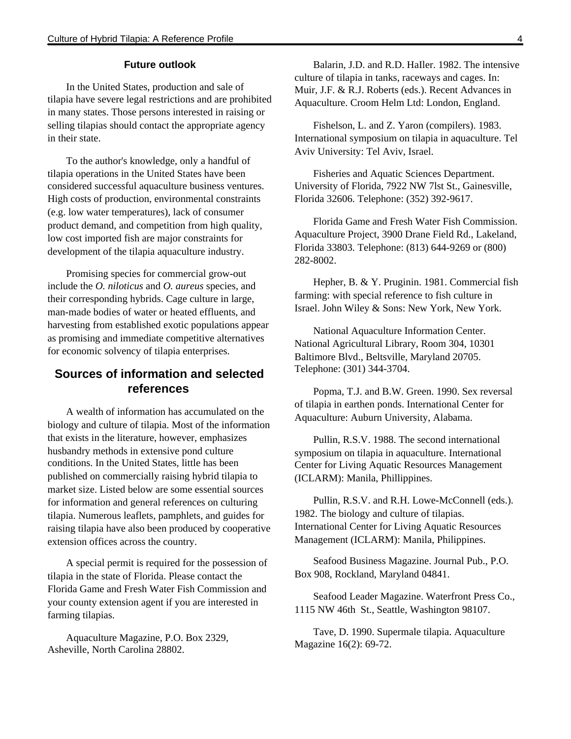#### **Future outlook**

In the United States, production and sale of tilapia have severe legal restrictions and are prohibited in many states. Those persons interested in raising or selling tilapias should contact the appropriate agency in their state.

To the author's knowledge, only a handful of tilapia operations in the United States have been considered successful aquaculture business ventures. High costs of production, environmental constraints (e.g. low water temperatures), lack of consumer product demand, and competition from high quality, low cost imported fish are major constraints for development of the tilapia aquaculture industry.

Promising species for commercial grow-out include the *O. niloticus* and *O. aureus* species, and their corresponding hybrids. Cage culture in large, man-made bodies of water or heated effluents, and harvesting from established exotic populations appear as promising and immediate competitive alternatives for economic solvency of tilapia enterprises.

# **Sources of information and selected references**

A wealth of information has accumulated on the biology and culture of tilapia. Most of the information that exists in the literature, however, emphasizes husbandry methods in extensive pond culture conditions. In the United States, little has been published on commercially raising hybrid tilapia to market size. Listed below are some essential sources for information and general references on culturing tilapia. Numerous leaflets, pamphlets, and guides for raising tilapia have also been produced by cooperative extension offices across the country.

A special permit is required for the possession of tilapia in the state of Florida. Please contact the Florida Game and Fresh Water Fish Commission and your county extension agent if you are interested in farming tilapias.

Aquaculture Magazine, P.O. Box 2329, Asheville, North Carolina 28802.

Balarin, J.D. and R.D. HaIler. 1982. The intensive culture of tilapia in tanks, raceways and cages. In: Muir, J.F. & R.J. Roberts (eds.). Recent Advances in Aquaculture. Croom Helm Ltd: London, England.

Fishelson, L. and Z. Yaron (compilers). 1983. International symposium on tilapia in aquaculture. Tel Aviv University: Tel Aviv, Israel.

Fisheries and Aquatic Sciences Department. University of Florida, 7922 NW 7lst St., Gainesville, Florida 32606. Telephone: (352) 392-9617.

Florida Game and Fresh Water Fish Commission. Aquaculture Project, 3900 Drane Field Rd., Lakeland, Florida 33803. Telephone: (813) 644-9269 or (800) 282-8002.

Hepher, B. & Y. Pruginin. 1981. Commercial fish farming: with special reference to fish culture in Israel. John Wiley & Sons: New York, New York.

National Aquaculture Information Center. National Agricultural Library, Room 304, 10301 Baltimore Blvd., Beltsville, Maryland 20705. Telephone: (301) 344-3704.

Popma, T.J. and B.W. Green. 1990. Sex reversal of tilapia in earthen ponds. International Center for Aquaculture: Auburn University, Alabama.

Pullin, R.S.V. 1988. The second international symposium on tilapia in aquaculture. International Center for Living Aquatic Resources Management (ICLARM): Manila, Phillippines.

Pullin, R.S.V. and R.H. Lowe-McConnell (eds.). 1982. The biology and culture of tilapias. International Center for Living Aquatic Resources Management (ICLARM): Manila, Philippines.

Seafood Business Magazine. Journal Pub., P.O. Box 908, Rockland, Maryland 04841.

Seafood Leader Magazine. Waterfront Press Co., 1115 NW 46th St., Seattle, Washington 98107.

Tave, D. 1990. Supermale tilapia. Aquaculture Magazine 16(2): 69-72.